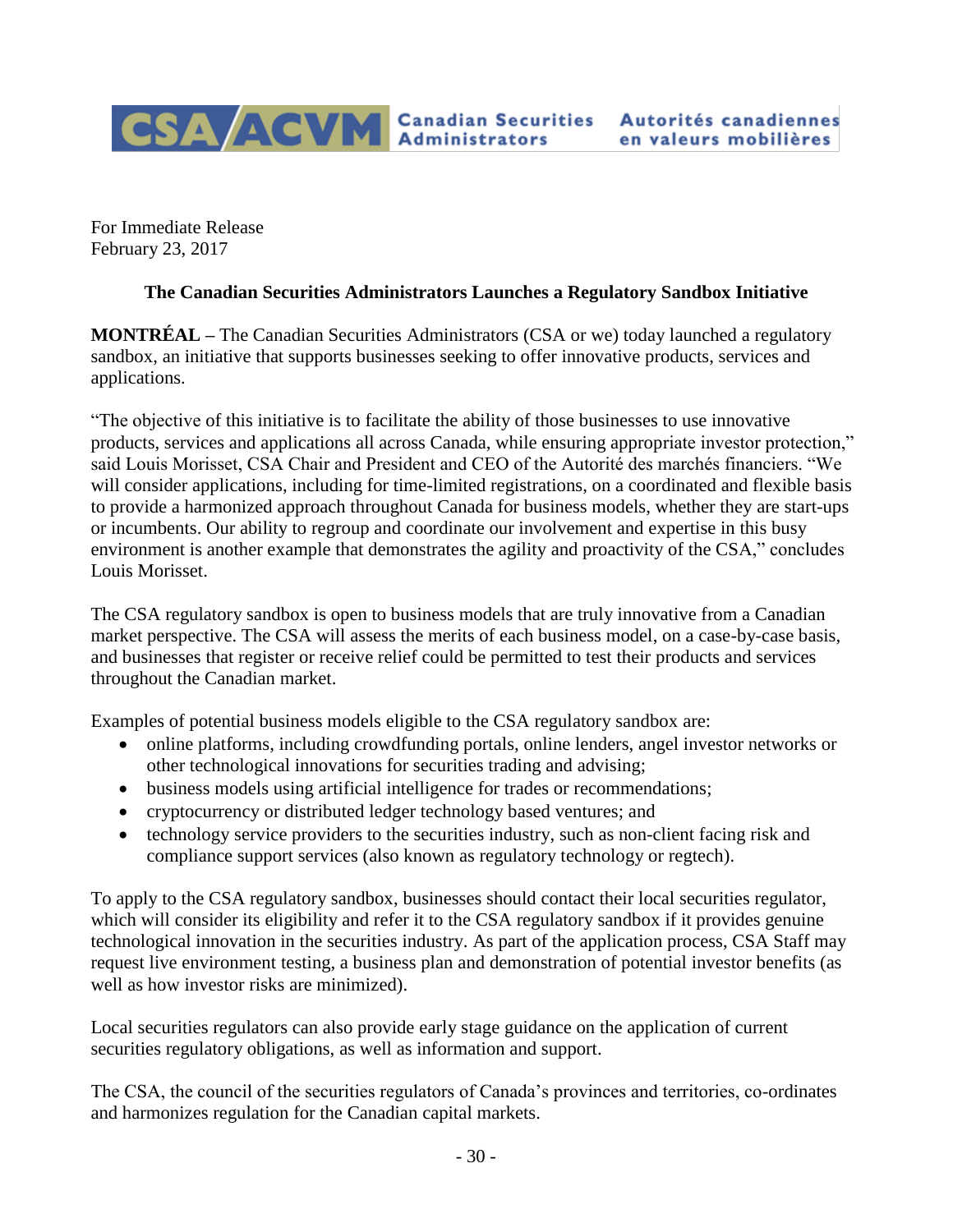

For Immediate Release February 23, 2017

## **The Canadian Securities Administrators Launches a Regulatory Sandbox Initiative**

**MONTRÉAL –** The Canadian Securities Administrators (CSA or we) today launched a regulatory sandbox, an initiative that supports businesses seeking to offer innovative products, services and applications.

"The objective of this initiative is to facilitate the ability of those businesses to use innovative products, services and applications all across Canada, while ensuring appropriate investor protection," said Louis Morisset, CSA Chair and President and CEO of the Autorité des marchés financiers. "We will consider applications, including for time-limited registrations, on a coordinated and flexible basis to provide a harmonized approach throughout Canada for business models, whether they are start-ups or incumbents. Our ability to regroup and coordinate our involvement and expertise in this busy environment is another example that demonstrates the agility and proactivity of the CSA," concludes Louis Morisset.

The CSA regulatory sandbox is open to business models that are truly innovative from a Canadian market perspective. The CSA will assess the merits of each business model, on a case-by-case basis, and businesses that register or receive relief could be permitted to test their products and services throughout the Canadian market.

Examples of potential business models eligible to the CSA regulatory sandbox are:

- online platforms, including crowdfunding portals, online lenders, angel investor networks or other technological innovations for securities trading and advising;
- business models using artificial intelligence for trades or recommendations;
- cryptocurrency or distributed ledger technology based ventures; and
- technology service providers to the securities industry, such as non-client facing risk and compliance support services (also known as regulatory technology or regtech).

To apply to the CSA regulatory sandbox, businesses should contact their local securities regulator, which will consider its eligibility and refer it to the CSA regulatory sandbox if it provides genuine technological innovation in the securities industry. As part of the application process, CSA Staff may request live environment testing, a business plan and demonstration of potential investor benefits (as well as how investor risks are minimized).

Local securities regulators can also provide early stage guidance on the application of current securities regulatory obligations, as well as information and support.

The CSA, the council of the securities regulators of Canada's provinces and territories, co-ordinates and harmonizes regulation for the Canadian capital markets.